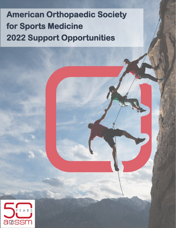# **American Orthopaedic Society for Sports Medicine 2022 Support Opportunities**

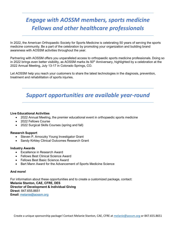# *Engage with AOSSM members, sports medicine Fellows and other healthcare professionals*

In 2022, the American Orthopaedic Society for Sports Medicine is celebrating 50 years of serving the sports medicine community. Be a part of the celebration by promoting your organization and building brand awareness with AOSSM activities throughout the year.

Partnering with AOSSM offers you unparalleled access to orthopaedic sports medicine professionals. Doing so in 2022 brings even better visibility, as AOSSM marks its 50<sup>th</sup> Anniversary, highlighted by a celebration at the 2022 Annual Meeting, July 13-17 in Colorado Springs, CO.

Let AOSSM help you reach your customers to share the latest technologies in the diagnosis, prevention, treatment and rehabilitation of sports injuries.

## *Support opportunities are available year-round*

#### **Live Educational Activities**

- 2022 Annual Meeting, the premier educational event in orthopaedic sports medicine
- 2022 Fellows Course
- 2022 Surgical Skills Courses (spring and fall)

#### **Research Support**

- Steven P. Arnoczky Young Investigator Grant
- Sandy Kirkley Clinical Outcomes Research Grant

#### **Industry Awards**

- Excellence in Research Award
- Fellows Best Clinical Science Award
- Fellows Best Basic Science Award
- Bart Mann Award for the Advancement of Sports Medicine Science

#### **And more!**

For information about these opportunities and to create a customized package, contact: **Melanie Stanton, CAE, CFRE, DES Director of Development & Individual Giving Direct**: 847.655.8651 **Email**: [melanie@aossm.org](mailto:melanie@aossm.org)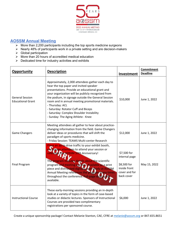

### **AOSSM Annual Meeting**

- $\triangleright$  More than 2,200 participants including the top sports medicine surgeons
- $\triangleright$  Nearly 48% of participants work in a private setting and are decision-makers
- $\triangleright$  Global participation
- $\triangleright$  More than 20 hours of accredited medical education
- $\triangleright$  Dedicated time for industry activities and exhibits

| Opportunity<br><b>Description</b>                  |                                                                                                                                                                                                                                                                                                                                                                                                                                                             | Investment                                                                                 | <b>Commitment</b><br><b>Deadline</b> |
|----------------------------------------------------|-------------------------------------------------------------------------------------------------------------------------------------------------------------------------------------------------------------------------------------------------------------------------------------------------------------------------------------------------------------------------------------------------------------------------------------------------------------|--------------------------------------------------------------------------------------------|--------------------------------------|
| <b>General Session</b><br><b>Educational Grant</b> | Approximately, 2,000 attendees gather each day to<br>hear the top paper and invited speaker<br>presentations. Provide an educational grant and<br>your organization will be publicly recognized from<br>the podium, in signage outside the General Session<br>room and in annual meeting promotional materials.<br>- Thursday: ACL<br>- Saturday: Rotator Cuff and Biceps<br>- Saturday: Complex Shoulder Instability<br>- Sunday: The Aging Athlete - Knee | \$10,000                                                                                   | June 1, 2022                         |
| <b>Game Changers</b>                               | Meeting attendees all gather to hear about practice-<br>changing information from the field. Game Changers<br>deliver ideas or procedures that will shift the<br>paradigm of sports medicine.<br>- Friday Session: TEAMS Multi-center Research                                                                                                                                                                                                              | \$12,000                                                                                   | June 1, 2022                         |
| <b>Final Program</b>                               | Place an ad to drive traffic to your exhibit booth,<br>encourage attendees to attend your session or<br>celebrate the AOSSM 50th Anniversary!<br>The program includes details about the scientific<br>program and meeting logistics. Available as a print<br>piece and distributed digitally, everybody at AOSSM<br>Annual Meeting references the program many times<br>throughout the conference. Full-page displa<br>available.                           | \$7,500 for<br>internal page<br>\$8,500 for<br>inside front<br>cover and for<br>back cover | May 15, 2022                         |
| <b>Instructional Course</b>                        | These early-morning sessions providing an in-depth<br>look at a variety of topics in the form of case-based<br>studies or didactic lectures. Sponsors of Instructional<br>Courses are provided two complimentary<br>registrations per sponsored course.                                                                                                                                                                                                     | \$6,000                                                                                    | June 1, 2022                         |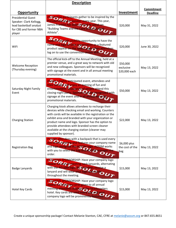| <b>Description</b>                                                                                                  |                                                                                                                                                                                                                                                                                                                                                                                                          |                                        |                               |
|---------------------------------------------------------------------------------------------------------------------|----------------------------------------------------------------------------------------------------------------------------------------------------------------------------------------------------------------------------------------------------------------------------------------------------------------------------------------------------------------------------------------------------------|----------------------------------------|-------------------------------|
| <b>Opportunity</b>                                                                                                  |                                                                                                                                                                                                                                                                                                                                                                                                          | Investment                             | Commitment<br><b>Deadline</b> |
| <b>Presidential Guest</b><br>Speaker: Clark Kellogg,<br>lead basketball analyst<br>for CBS and former NBA<br>player | All meeting participants gather to be inspired by the<br>Presidential Guest Speaker every year. This year,<br>James Franklin has been invited to speak on<br>"Building Teams and the Care of the Student<br>Athlete".                                                                                                                                                                                    | \$20,000                               | May 31, 2022                  |
| WiFi                                                                                                                | Support this high-visibility opportunity to have the<br>name and logo of your organization or a featured<br>product appear on the splash page when attendees<br>log on to use the convention center WiFiC                                                                                                                                                                                                | \$20,000                               | June 30, 2022                 |
| <b>Welcome Reception</b><br>(Thursday evening)                                                                      | The official kick-off to the Annual Meeting, held at a<br>premier venue, and a great way to network with old<br>and new colleagues. Sponsors will be recognized<br>with signage at the event and in all annual meeting<br>promotional materials.                                                                                                                                                         | \$50,000<br>exclusive<br>\$20,000 each | May 13, 2022                  |
| Saturday Night Family<br>Event                                                                                      | Always a highly anticipated event, attendees and<br>their families will enjoy an evening of fun and<br>entertainment. Thousands of people attend this<br>closing-night party. Sponsors will be recognized with<br>signage at the event and in all annual meeting<br>promotional materials.                                                                                                               | \$50,000                               | May 13, 2022                  |
| <b>Charging Station</b>                                                                                             | Charging kiosk allows attendees to recharge their<br>devices while checking email and working. Counters<br>with cords will be available in the registration or the<br>exhibit area and branded with your organization or<br>product name and logo. Sponsor has the option to<br>provide attendees with branded screen cleaner<br>available at the charging station (cleaner may<br>supplied by sponsor). | \$22,000                               | May 13, 2022                  |
| <b>Registration Bag</b>                                                                                             | Provide attendees with a backpack that is used every<br>day of the meeting and features your company name<br>and logo alongside the AOSSM logo. AOSSM works<br>with you to select the bag and AOSSM manages the<br>order.                                                                                                                                                                                | \$6,000 plus<br>the cost of the<br>bag | May 13, 2022                  |
| <b>Badge Lanyards</b>                                                                                               | <b>EXCLUSIVE SPONSORSHIP: Have your company logo</b><br>appear on annual meeting neck lanyards, alternating<br>with the AO SSM logo. All attendees receive a<br>Muth the AU borning your logo with Dride U                                                                                                                                                                                               | \$15,000                               | May 13, 2022                  |
| Hotel Key Cards                                                                                                     | <b>EXCLUSIVE SPONSORSHIP: Have your company logo</b><br>appear on hotel key cards given to all annual<br>meeting attendees staying at the headquarters<br>hotel. Key cards are used every day and your<br>company logo will be prominently featured.                                                                                                                                                     | \$15,000                               | May 13, 2022                  |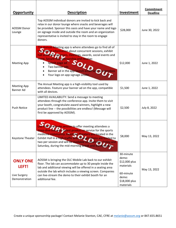| Opportunity                                               | <b>Description</b>                                                                                                                                                                                                                                                                                                                                                           | Investment                                                                                           | <b>Commitment</b><br><b>Deadline</b> |
|-----------------------------------------------------------|------------------------------------------------------------------------------------------------------------------------------------------------------------------------------------------------------------------------------------------------------------------------------------------------------------------------------------------------------------------------------|------------------------------------------------------------------------------------------------------|--------------------------------------|
| <b>AOSSM Donor</b><br>Lounge                              | Top AOSSM individual donors are invited to kick back and<br>relax in our donor lounge where snacks and beverages will<br>be provided. Sponsor this oasis and have your name and logo<br>on signage inside and outside the room and an organization<br>representative is invited to stay in the room to engage<br>donors.                                                     | \$28,000                                                                                             | June 30, 2022                        |
| <b>Meeting App</b>                                        | The Annual Meeting app is where attendees go to find all of<br>the current information about concurrent sessions, exhibit<br>hall activities, sponsors, meetings, awards, social events and<br>more. Secure this sponsorship and receive:<br>Splash page ad<br>Two banner ads<br>Banner ad in the app launch email sent to attendees<br>Your logo on app signage onsite      | \$12,000                                                                                             | June 1, 2022                         |
| <b>Meeting App</b><br><b>Banner Ad</b>                    | The Annual Meeting app is a high-visibility tool used by<br>attendees. Feature your banner ad on the app, compatible<br>with all devices.                                                                                                                                                                                                                                    | \$1,500                                                                                              | June 1, 2022                         |
| <b>Push Notice</b>                                        | LIMITED AVAILABILITY: Send a message to meeting<br>attendees through the conference app. Invite them to visit<br>your booth, congratulate award winners, highlight a new<br>product line -- the possibilities are endless! (Message will<br>first be approved by AOSSM).                                                                                                     | \$2,500                                                                                              | July 8, 2022                         |
| Keystone Theater                                          | 30-minute session to offer meeting attendees a<br>deep-dive into your latest product or service for the sports<br>medicine community. Keystone Theaters are located in the<br>Exhibit Hall in a high-traffic area. Presentations are limited to<br>two per session and will be available on Thursday, Friday and<br>Saturday, during the mid-morning break and during lunch. | \$8,000                                                                                              | May 13, 2022                         |
| <b>ONLY ONE</b><br>LEFT!<br>Live Surgery<br>Demonstration | AOSSM is bringing the OLC Mobile Lab back to our exhibit<br>floor. The lab can accommodate up to 30 people inside the<br>lab and additional viewing will be offered in a seating area<br>outside the lab which includes a viewing screen. Companies<br>can live-stream the demo to their exhibit booth for an<br>additional fee.                                             | 30-minute<br>demo:<br>\$12,000 plus<br>materials<br>60-minute<br>demo:<br>\$18,000 plus<br>materials | May 13, 2022                         |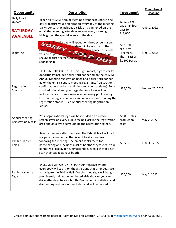| <b>Opportunity</b>                                           | <b>Description</b>                                                                                                                                                                                                                                                                                                                                                                                                                                                                                                                                                     | Investment                                                              | Commitment<br><b>Deadline</b> |
|--------------------------------------------------------------|------------------------------------------------------------------------------------------------------------------------------------------------------------------------------------------------------------------------------------------------------------------------------------------------------------------------------------------------------------------------------------------------------------------------------------------------------------------------------------------------------------------------------------------------------------------------|-------------------------------------------------------------------------|-------------------------------|
| Daily Email<br>Update<br><b>SATURDAY</b><br><b>AVAILABLE</b> | Reach all AOSSM Annual Meeting attendees! Choose one<br>day or feature your organization every day of the meeting.<br>Daily sponsorship includes a click-thru banner ad on the<br>email that meeting attendees receive every morning,<br>highlighting the special events of the day.                                                                                                                                                                                                                                                                                   | \$3,500 per<br>day or all four<br>days for<br>\$12,000                  | June 1, 2022                  |
| Digital Ad                                                   | Your digital product ad will appear on three screens along<br>the path that meeting attendees will follow to visit the<br>exhibit hall, grab a coffee and network. Choose to include<br>your ad as part of a rotation with other organizations or<br>secure all three screens for three days with an exclusive<br>sponsorship.                                                                                                                                                                                                                                         | \$12,000<br>exclusive<br>(3 screens<br>Thur - Sat) or<br>\$1,500 per ad | June 1, 2022                  |
| Registration<br>Sponsor                                      | EXCLUSIVE OPPORTUNITY: This high-impact, high-visibility<br>opportunity includes a click-thru banner ad on the AOSSM<br>Annual Meeting registration page and a click-thru banner<br>ad on the emails sent to meeting registrants (registration<br>confirmation, check-in reminders and show updates). For a<br>small additional fee, your organization's logo will be<br>included on a custom screen saver on every public-facing<br>kiosk in the registration area and on a wrap surrounding the<br>registration stands -- See Annual Meeting Registration<br>Kiosks. | \$35,000                                                                | January 25, 2022              |
| <b>Annual Meeting</b><br><b>Registration Kiosks</b>          | Your organization's logo will be included on a custom<br>screen saver on every public-facing kiosk in the registration<br>area and on a wrap surrounding the registration screen.                                                                                                                                                                                                                                                                                                                                                                                      | \$5,000, plus<br>production<br>costs                                    | May 2, 2022                   |
| <b>Exhibit Tracker</b><br>Email                              | Reach attendees after the show: The Exhibit Tracker Email<br>is a personalized email that is sent to all attendees<br>following the meeting. The email thanks them for<br>participating and includes a list of booths they visited. Your<br>banner will display for every attendee, even if they did not<br>scan their badge at your booth.                                                                                                                                                                                                                            | \$3,500                                                                 | June 30, 2022                 |
| <b>Exhibit Hall Aisle</b><br>Signs                           | EXCLUSIVE OPPORTUNITY: Put your message where<br>everybody will see it: on the aisle signs that attendees use<br>to navigate the Exhibit Hall. Double-sided signs will hang<br>prominently below the numbered aisle signs so you can<br>drive attendees to your booth. Production, installation and<br>dismantling costs are not included and will be quoted.                                                                                                                                                                                                          | \$20,000                                                                | May 2, 2022                   |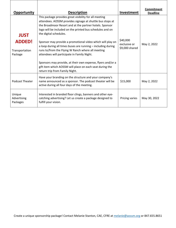| <b>Opportunity</b>                                        | <b>Description</b>                                                                                                                                                                                                                                                                                                                                                                                                                                                                                                                                                                                                                                                   | Investment                                 | Commitment<br><b>Deadline</b> |
|-----------------------------------------------------------|----------------------------------------------------------------------------------------------------------------------------------------------------------------------------------------------------------------------------------------------------------------------------------------------------------------------------------------------------------------------------------------------------------------------------------------------------------------------------------------------------------------------------------------------------------------------------------------------------------------------------------------------------------------------|--------------------------------------------|-------------------------------|
| <b>JUST</b><br><b>ADDED!</b><br>Transportation<br>Package | This package provides great visibility for all meeting<br>attendees. AOSSM provides signage at shuttle bus stops at<br>the Broadmoor Resort and at the partner hotels. Sponsor<br>logo will be included on the printed bus schedules and on<br>the digital schedules.<br>Sponsor may provide a promotional video which will play on<br>a loop during all times buses are running - including during<br>runs to/from the Flying W Ranch where all meeting<br>attendees will participate in Family Night.<br>Sponsors may provide, at their own expense, flyers and/or a<br>gift item which AOSSM will place on each seat during the<br>return trip from Family Night. | \$40,000<br>exclusive or<br>\$9,000 shared | May 2, 2022                   |
| <b>Podcast Theater</b>                                    | Have your branding on the structure and your company's<br>name announced as a sponsor. The podcast theater will be<br>active during all four days of the meeting.                                                                                                                                                                                                                                                                                                                                                                                                                                                                                                    | \$15,000                                   | May 2, 2022                   |
| Unique<br>Advertising<br>Packages                         | Interested in branded floor clings, banners and other eye-<br>catching advertising? Let us create a package designed to<br>fulfill your vision.                                                                                                                                                                                                                                                                                                                                                                                                                                                                                                                      | Pricing varies                             | May 30, 2022                  |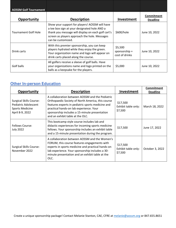| <b>AOSSM Golf Tournament</b> |                                                                                                                                                                                                                             |                                            |                               |
|------------------------------|-----------------------------------------------------------------------------------------------------------------------------------------------------------------------------------------------------------------------------|--------------------------------------------|-------------------------------|
| Opportunity                  | <b>Description</b>                                                                                                                                                                                                          | Investment                                 | Commitment<br><b>Deadline</b> |
| <b>Tournament Golf Hole</b>  | Show your support for players! AOSSM will have<br>a tee box sign at your designated hole AND a<br>thank you message will display on each golf cart's<br>screen as players approach the hole. Messages<br>can be customized. | \$600/hole                                 | June 10, 2022                 |
| Drink carts                  | With this premier sponsorship, you can keep<br>players hydrated while they enjoy the green.<br>Your organization name and logo will appear on<br>drink carts placed along the course.                                       | \$5,500<br>sponsorship +<br>cost of drinks | June 10, 2022                 |
| Golf balls                   | All golfers receive a sleeve of golf balls. Have<br>your organizations name and logo printed on the<br>balls as a keepsake for the players.                                                                                 | \$5,000                                    | June 10, 2022                 |

## **Other In-person Education**

| <b>Opportunity</b>                                                                                  | <b>Description</b>                                                                                                                                                                                                                                                                        | Investment                                 | Commitment<br><b>Deadline</b> |  |
|-----------------------------------------------------------------------------------------------------|-------------------------------------------------------------------------------------------------------------------------------------------------------------------------------------------------------------------------------------------------------------------------------------------|--------------------------------------------|-------------------------------|--|
| <b>Surgical Skills Course:</b><br>Pediatric Adolescent<br><b>Sports Medicine</b><br>April 8-9, 2022 | A collaboration between AOSSM and the Pediatric<br>Orthopaedic Society of North America, this course<br>features experts in pediatric sports medicine and<br>practical hands-on lab experience. Your<br>sponsorship includes a 15-minute presentation<br>and an exhibit table at the OLC. | \$17,500<br>Exhibit table only:<br>\$7,500 | March 18, 2022                |  |
| <b>Fellows Course:</b><br><b>July 2022</b>                                                          | This bootcamp style course includes lab and<br>didactic experiences for incoming sports medicine<br>fellows. Your sponsorship includes an exhibit table<br>and a 15-minute presentation during the program.                                                                               | \$17,500                                   | June 17, 2022                 |  |
| <b>Surgical Skills Course:</b><br>November 2022                                                     | A collaboration between AOSSM and the Women's<br>FORUM, this course features engagements with<br>experts in sports medicine and practical hands-on<br>lab experience. Your sponsorship includes a 30-<br>minute presentation and an exhibit table at the<br>OLC.                          | \$17,500<br>Exhibit table only:<br>\$7,500 | October 3, 2022               |  |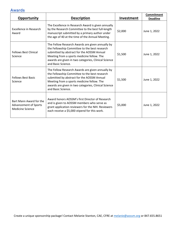## **Awards**

| Opportunity                                                                        | <b>Description</b>                                                                                                                                                                                                                                                          | Investment | <b>Commitment</b><br><b>Deadline</b> |
|------------------------------------------------------------------------------------|-----------------------------------------------------------------------------------------------------------------------------------------------------------------------------------------------------------------------------------------------------------------------------|------------|--------------------------------------|
| <b>Excellence in Research</b><br>Award                                             | The Excellence in Research Award is given annually<br>by the Research Committee to the best full-length<br>manuscript submitted by a primary author under<br>the age of 40 at the time of the Annual Meeting.                                                               | \$2,000    | June 1, 2022                         |
| <b>Fellows Best Clinical</b><br>Science                                            | The Fellow Research Awards are given annually by<br>the Fellowship Committee to the best research<br>submitted by abstract for the AOSSM Annual<br>Meeting from a sports medicine fellow. The<br>awards are given in two categories, Clinical Science<br>and Basic Science. | \$1,500    | June 1, 2022                         |
| <b>Fellows Best Basic</b><br>Science                                               | The Fellow Research Awards are given annually by<br>the Fellowship Committee to the best research<br>submitted by abstract for the AOSSM Annual<br>Meeting from a sports medicine fellow. The<br>awards are given in two categories, Clinical Science<br>and Basic Science. | \$1,500    | June 1, 2022                         |
| Bart Mann Award for the<br><b>Advancement of Sports</b><br><b>Medicine Science</b> | Award honors AOSSM's first Director of Research<br>and is given to AOSSM members who serve as<br>grant application reviewers for the NIH. Reviewers<br>each receive a \$5,000 stipend for this work.                                                                        | \$5,000    | June 1, 2022                         |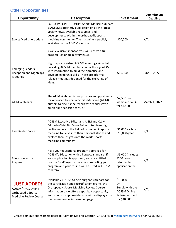## **Other Opportunities**

| <b>Opportunity</b>                                                                             | <b>Description</b>                                                                                                                                                                                                                                                                                                                                                                | Investment                                                                                  | Commitment<br><b>Deadline</b> |
|------------------------------------------------------------------------------------------------|-----------------------------------------------------------------------------------------------------------------------------------------------------------------------------------------------------------------------------------------------------------------------------------------------------------------------------------------------------------------------------------|---------------------------------------------------------------------------------------------|-------------------------------|
| Sports Medicine Update                                                                         | <b>EXCLUSIVE OPPORTUNITY: Sports Medicine Update</b><br>is AOSSM's quarterly publication on all the latest<br>Society news, available resources, and<br>developments within the orthopaedic sports<br>medicine community. The magazine is publicly<br>available on the AOSSM website.<br>As an exclusive sponsor, you will receive a full-<br>page, full-color ad in every issue. | \$20,000                                                                                    | N/A                           |
| <b>Emerging Leaders</b><br><b>Reception and Nightcaps</b><br>Meetings                          | Nightcaps are virtual AOSSM meetings aimed at<br>providing AOSSM members under the age of 45<br>with information to build their practice and<br>\$10,000<br>develop leadership skills. These are informal,<br>relaxed meetings designed for the exchange of<br>ideas.                                                                                                             |                                                                                             | June 1, 2022                  |
| <b>AJSM Webinars</b>                                                                           | The AJSM Webinar Series provides an opportunity<br>for American Journal of Sports Medicine (AJSM)<br>authors to discuss their work with readers with<br>ample time set aside for Q&A.                                                                                                                                                                                             | \$2,500 per<br>webinar or all 4<br>for \$7,500                                              | March 1, 2022                 |
| Easy Reider Podcast                                                                            | AOSSM Executive Editor and AJSM and OJSM<br>Editor-in-Chief Dr. Bruce Reider interviews high<br>profile leaders in the field of orthopaedic sports<br>medicine to delve into their personal stories and<br>explore their insights into the world sports<br>medicine community.                                                                                                    | \$1,000 each or<br>\$10,000/year                                                            |                               |
| Education with a<br>Purpose                                                                    | Have your educational program approved for<br>AOSSM's Education with a Purpose standard. If<br>your application is approved, you are entitled to<br>use the EwaP logo on materials promoting your<br>program and your course will be listed in AOSSM<br>collateral.                                                                                                               | \$5,000 (includes<br>\$250 non-<br>refundable<br>application fee)                           | N/A                           |
| <b>JUST ADDED!</b><br>AOSSM/AAOS Online<br>Orthopaedic Sports<br><b>Medicine Review Course</b> | Available 24-7-365 to help surgeons prepare for<br>the certification and recertification exams, the<br>Orthopaedic Sports Medicine Review Course<br>information page offers a spotlight opportunity.<br>Your sponsorship provides you with a display ad on<br>the review course information page.                                                                                 | \$40,000<br><b>OR</b><br>Bundle with the<br>AOSSM Online<br>Self-Assessment<br>for \$48,000 | N/A                           |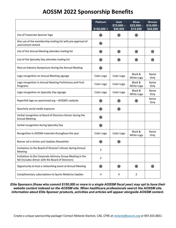# **AOSSM 2022 Sponsorship Benefits**

|                                                                                                                  | <b>Platinum</b> | Gold<br>$$75,000-$ | <b>Silver</b><br>$$25,000 -$ | <b>Bronze</b><br>$$10,000 -$ |
|------------------------------------------------------------------------------------------------------------------|-----------------|--------------------|------------------------------|------------------------------|
|                                                                                                                  | $$100,000 +$    | \$99,999           | \$74,999                     | \$24,999                     |
| Use of Corporate Sponsor logo                                                                                    | ֎               | ֎                  | ֎                            |                              |
| One use of the membership mailing list with pre-approval of<br>use/content shared                                | ֎               |                    |                              |                              |
| Use of the Annual Meeting attendee mailing list                                                                  | ֎               | ֎                  | ֎                            | ֎                            |
| Use of the Specialty Day attendee mailing list                                                                   | ֎               | ֎                  | ֎                            | ֎                            |
| Host an Industry Symposium during the Annual Meeting                                                             | ֎               |                    |                              |                              |
| Logo recognition on Annual Meeting signage                                                                       | Color Logo      | Color Logo         | Black &<br>White Logo        | Name<br>Only                 |
| Logo recognition in Annual Meeting Preliminary and Final<br>Programs                                             | Color Logo      | Color Logo         | Black &<br>White Logo        | Name<br>Only                 |
| Logo recognition on Specialty Day signage                                                                        | Color Logo      | Color Logo         | Black &<br>White Logo        | Name<br>Only                 |
| Hyperlink logo on sportsmed.org - AOSSM's website                                                                | ֎               | ֎                  | ֎                            | Name<br>Only                 |
| Quarterly social media exposure                                                                                  | ֎               | ֎                  |                              |                              |
| Verbal recognition at Board of Directors Dinner during the<br><b>Annual Meeting</b>                              | ֎               |                    |                              |                              |
| Verbal recognition during Specialty Day                                                                          | ֎               |                    |                              |                              |
| Recognition in AOSSM materials throughout the year                                                               | Color Logo      | Color Logo         | Black &<br>White Logo        | Name<br>Only                 |
| Banner ad in Action and Updates Newsletter                                                                       | ֎               | ֎                  |                              |                              |
| Invitations to the Board of Director's Dinner during Annual<br>Meeting                                           | $\overline{2}$  |                    |                              |                              |
| Invitations to the Corporate Advisory Group Meeting in the<br>fall (includes dinner with the Board of Directors) | $\overline{2}$  |                    |                              |                              |
| Opportunity to host a networking event at Annual Meeting                                                         | ֎               | ֎                  | ֎                            | ֎                            |
| Complimentary subscriptions to Sports Medicine Update                                                            | 4               | 4                  | $\overline{2}$               |                              |

*Elite Sponsors (those who commit \$150,000 or more in a single AOSSM fiscal year) may opt to have their website content indexed on the AOSSM site. When healthcare professionals search the AOSSM site, information about Elite Sponsor products, activities and articles will appear alongside AOSSM content.*